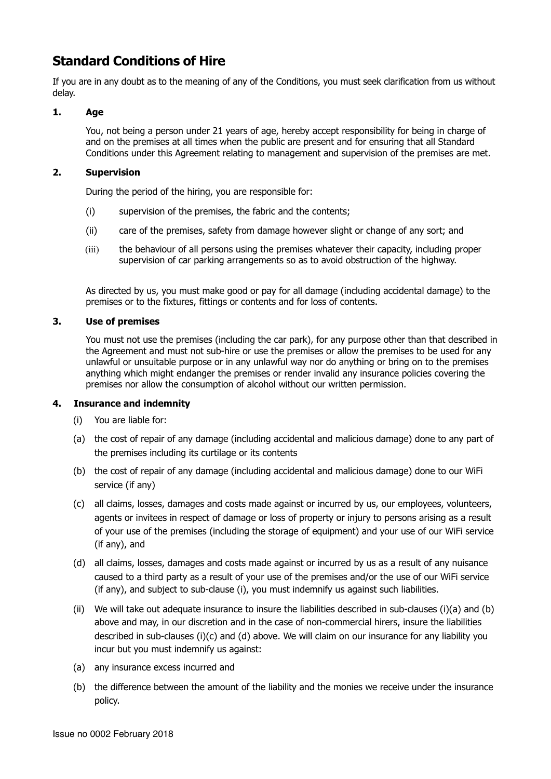# **Standard Conditions of Hire**

If you are in any doubt as to the meaning of any of the Conditions, you must seek clarification from us without delay.

# **1. Age**

You, not being a person under 21 years of age, hereby accept responsibility for being in charge of and on the premises at all times when the public are present and for ensuring that all Standard Conditions under this Agreement relating to management and supervision of the premises are met.

#### **2. Supervision**

During the period of the hiring, you are responsible for:

- (i) supervision of the premises, the fabric and the contents;
- (ii) care of the premises, safety from damage however slight or change of any sort; and
- (iii) the behaviour of all persons using the premises whatever their capacity, including proper supervision of car parking arrangements so as to avoid obstruction of the highway.

As directed by us, you must make good or pay for all damage (including accidental damage) to the premises or to the fixtures, fittings or contents and for loss of contents.

#### **3. Use of premises**

You must not use the premises (including the car park), for any purpose other than that described in the Agreement and must not sub-hire or use the premises or allow the premises to be used for any unlawful or unsuitable purpose or in any unlawful way nor do anything or bring on to the premises anything which might endanger the premises or render invalid any insurance policies covering the premises nor allow the consumption of alcohol without our written permission.

#### **4. Insurance and indemnity**

- (i) You are liable for:
- (a) the cost of repair of any damage (including accidental and malicious damage) done to any part of the premises including its curtilage or its contents
- (b) the cost of repair of any damage (including accidental and malicious damage) done to our WiFi service (if any)
- (c) all claims, losses, damages and costs made against or incurred by us, our employees, volunteers, agents or invitees in respect of damage or loss of property or injury to persons arising as a result of your use of the premises (including the storage of equipment) and your use of our WiFi service (if any), and
- (d) all claims, losses, damages and costs made against or incurred by us as a result of any nuisance caused to a third party as a result of your use of the premises and/or the use of our WiFi service (if any), and subject to sub-clause (i), you must indemnify us against such liabilities.
- (ii) We will take out adequate insurance to insure the liabilities described in sub-clauses (i)(a) and (b) above and may, in our discretion and in the case of non-commercial hirers, insure the liabilities described in sub-clauses (i)(c) and (d) above. We will claim on our insurance for any liability you incur but you must indemnify us against:
- (a) any insurance excess incurred and
- (b) the difference between the amount of the liability and the monies we receive under the insurance policy.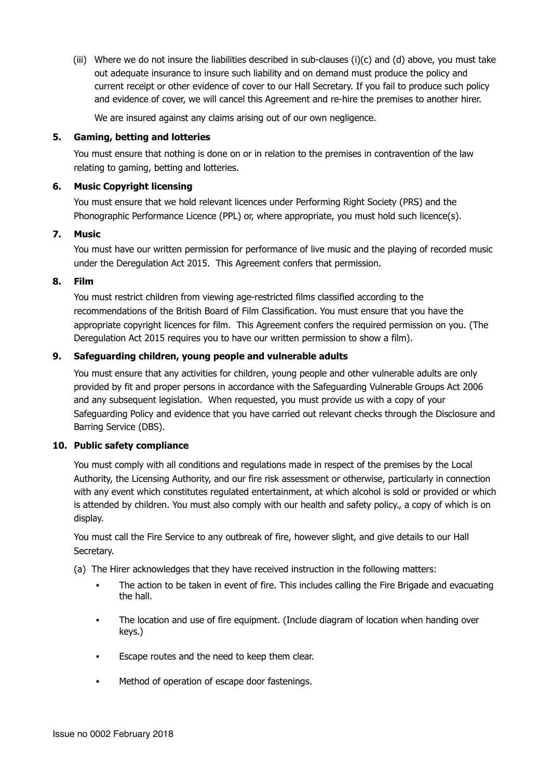(iii) Where we do not insure the liabilities described in sub-clauses (i)(c) and (d) above, you must take out adequate insurance to insure such liability and on demand must produce the policy and current receipt or other evidence of cover to our Hall Secretary. If you fail to produce such policy and evidence of cover, we will cancel this Agreement and re-hire the premises to another hirer.

We are insured against any claims arising out of our own negligence.

## **5. Gaming, betting and lotteries**

You must ensure that nothing is done on or in relation to the premises in contravention of the law relating to gaming, betting and lotteries.

# **6. Music Copyright licensing**

You must ensure that we hold relevant licences under Performing Right Society (PRS) and the Phonographic Performance Licence (PPL) or, where appropriate, you must hold such licence(s).

# **7. Music**

You must have our written permission for performance of live music and the playing of recorded music under the Deregulation Act 2015. This Agreement confers that permission.

# **8. Film**

You must restrict children from viewing age-restricted films classified according to the recommendations of the British Board of Film Classification. You must ensure that you have the appropriate copyright licences for film. This Agreement confers the required permission on you. (The Deregulation Act 2015 requires you to have our written permission to show a film).

# **9. Safeguarding children, young people and vulnerable adults**

You must ensure that any activities for children, young people and other vulnerable adults are only provided by fit and proper persons in accordance with the Safeguarding Vulnerable Groups Act 2006 and any subsequent legislation. When requested, you must provide us with a copy of your Safeguarding Policy and evidence that you have carried out relevant checks through the Disclosure and Barring Service (DBS).

# **10. Public safety compliance**

You must comply with all conditions and regulations made in respect of the premises by the Local Authority, the Licensing Authority, and our fire risk assessment or otherwise, particularly in connection with any event which constitutes regulated entertainment, at which alcohol is sold or provided or which is attended by children. You must also comply with our health and safety policy., a copy of which is on display.

You must call the Fire Service to any outbreak of fire, however slight, and give details to our Hall Secretary.

- (a) The Hirer acknowledges that they have received instruction in the following matters:
	- The action to be taken in event of fire. This includes calling the Fire Brigade and evacuating the hall.
	- The location and use of fire equipment. (Include diagram of location when handing over keys.)
	- Escape routes and the need to keep them clear.
	- Method of operation of escape door fastenings.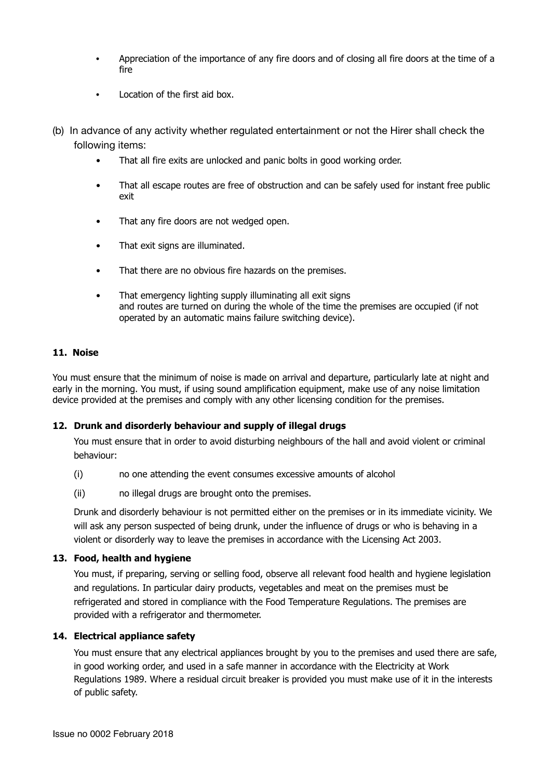- Appreciation of the importance of any fire doors and of closing all fire doors at the time of a fire
- Location of the first aid box.
- (b) In advance of any activity whether regulated entertainment or not the Hirer shall check the following items:
	- That all fire exits are unlocked and panic bolts in good working order.
	- That all escape routes are free of obstruction and can be safely used for instant free public exit
	- That any fire doors are not wedged open.
	- That exit signs are illuminated.
	- That there are no obvious fire hazards on the premises.
	- That emergency lighting supply illuminating all exit signs and routes are turned on during the whole of the time the premises are occupied (if not operated by an automatic mains failure switching device).

#### **11. Noise**

You must ensure that the minimum of noise is made on arrival and departure, particularly late at night and early in the morning. You must, if using sound amplification equipment, make use of any noise limitation device provided at the premises and comply with any other licensing condition for the premises.

#### **12. Drunk and disorderly behaviour and supply of illegal drugs**

You must ensure that in order to avoid disturbing neighbours of the hall and avoid violent or criminal behaviour:

- (i) no one attending the event consumes excessive amounts of alcohol
- (ii) no illegal drugs are brought onto the premises.

Drunk and disorderly behaviour is not permitted either on the premises or in its immediate vicinity. We will ask any person suspected of being drunk, under the influence of drugs or who is behaving in a violent or disorderly way to leave the premises in accordance with the Licensing Act 2003.

#### **13. Food, health and hygiene**

You must, if preparing, serving or selling food, observe all relevant food health and hygiene legislation and regulations. In particular dairy products, vegetables and meat on the premises must be refrigerated and stored in compliance with the Food Temperature Regulations. The premises are provided with a refrigerator and thermometer.

# **14. Electrical appliance safety**

You must ensure that any electrical appliances brought by you to the premises and used there are safe, in good working order, and used in a safe manner in accordance with the Electricity at Work Regulations 1989. Where a residual circuit breaker is provided you must make use of it in the interests of public safety.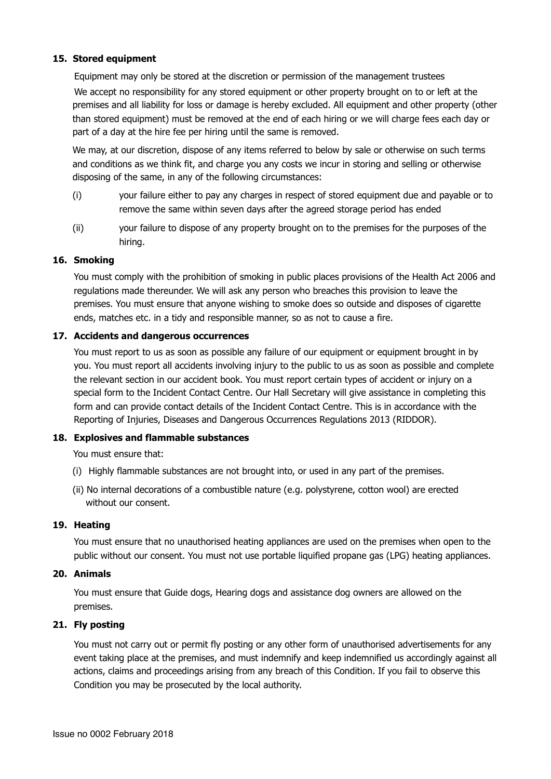# **15. Stored equipment**

Equipment may only be stored at the discretion or permission of the management trustees We accept no responsibility for any stored equipment or other property brought on to or left at the premises and all liability for loss or damage is hereby excluded. All equipment and other property (other than stored equipment) must be removed at the end of each hiring or we will charge fees each day or part of a day at the hire fee per hiring until the same is removed.

We may, at our discretion, dispose of any items referred to below by sale or otherwise on such terms and conditions as we think fit, and charge you any costs we incur in storing and selling or otherwise disposing of the same, in any of the following circumstances:

- (i) your failure either to pay any charges in respect of stored equipment due and payable or to remove the same within seven days after the agreed storage period has ended
- (ii) your failure to dispose of any property brought on to the premises for the purposes of the hiring.

# **16. Smoking**

You must comply with the prohibition of smoking in public places provisions of the Health Act 2006 and regulations made thereunder. We will ask any person who breaches this provision to leave the premises. You must ensure that anyone wishing to smoke does so outside and disposes of cigarette ends, matches etc. in a tidy and responsible manner, so as not to cause a fire.

# **17. Accidents and dangerous occurrences**

You must report to us as soon as possible any failure of our equipment or equipment brought in by you. You must report all accidents involving injury to the public to us as soon as possible and complete the relevant section in our accident book. You must report certain types of accident or injury on a special form to the Incident Contact Centre. Our Hall Secretary will give assistance in completing this form and can provide contact details of the Incident Contact Centre. This is in accordance with the Reporting of Injuries, Diseases and Dangerous Occurrences Regulations 2013 (RIDDOR).

# **18. Explosives and flammable substances**

You must ensure that:

- (i) Highly flammable substances are not brought into, or used in any part of the premises.
- (ii) No internal decorations of a combustible nature (e.g. polystyrene, cotton wool) are erected without our consent.

# **19. Heating**

You must ensure that no unauthorised heating appliances are used on the premises when open to the public without our consent. You must not use portable liquified propane gas (LPG) heating appliances.

# **20. Animals**

You must ensure that Guide dogs, Hearing dogs and assistance dog owners are allowed on the premises.

# **21. Fly posting**

You must not carry out or permit fly posting or any other form of unauthorised advertisements for any event taking place at the premises, and must indemnify and keep indemnified us accordingly against all actions, claims and proceedings arising from any breach of this Condition. If you fail to observe this Condition you may be prosecuted by the local authority.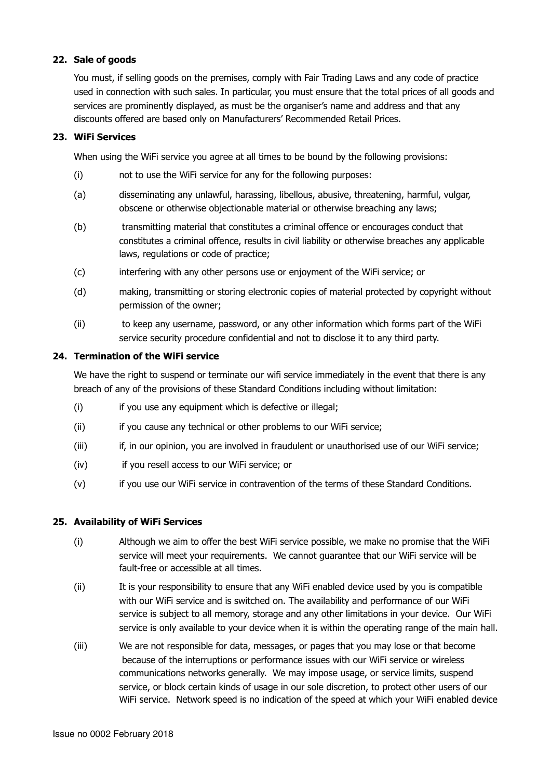# **22. Sale of goods**

You must, if selling goods on the premises, comply with Fair Trading Laws and any code of practice used in connection with such sales. In particular, you must ensure that the total prices of all goods and services are prominently displayed, as must be the organiser's name and address and that any discounts offered are based only on Manufacturers' Recommended Retail Prices.

# **23. WiFi Services**

When using the WiFi service you agree at all times to be bound by the following provisions:

- (i) not to use the WiFi service for any for the following purposes:
- (a) disseminating any unlawful, harassing, libellous, abusive, threatening, harmful, vulgar, obscene or otherwise objectionable material or otherwise breaching any laws;
- (b) transmitting material that constitutes a criminal offence or encourages conduct that constitutes a criminal offence, results in civil liability or otherwise breaches any applicable laws, regulations or code of practice;
- (c) interfering with any other persons use or enjoyment of the WiFi service; or
- (d) making, transmitting or storing electronic copies of material protected by copyright without permission of the owner;
- (ii) to keep any username, password, or any other information which forms part of the WiFi service security procedure confidential and not to disclose it to any third party.

# **24. Termination of the WiFi service**

We have the right to suspend or terminate our wifi service immediately in the event that there is any breach of any of the provisions of these Standard Conditions including without limitation:

- (i) if you use any equipment which is defective or illegal;
- (ii) if you cause any technical or other problems to our WiFi service:
- (iii) if, in our opinion, you are involved in fraudulent or unauthorised use of our WiFi service;
- (iv) if you resell access to our WiFi service; or
- (v) if you use our WiFi service in contravention of the terms of these Standard Conditions.

#### **25. Availability of WiFi Services**

- (i) Although we aim to offer the best WiFi service possible, we make no promise that the WiFi service will meet your requirements. We cannot guarantee that our WiFi service will be fault-free or accessible at all times.
- (ii) It is your responsibility to ensure that any WiFi enabled device used by you is compatible with our WiFi service and is switched on. The availability and performance of our WiFi service is subject to all memory, storage and any other limitations in your device. Our WiFi service is only available to your device when it is within the operating range of the main hall.
- (iii) We are not responsible for data, messages, or pages that you may lose or that become because of the interruptions or performance issues with our WiFi service or wireless communications networks generally. We may impose usage, or service limits, suspend service, or block certain kinds of usage in our sole discretion, to protect other users of our WiFi service. Network speed is no indication of the speed at which your WiFi enabled device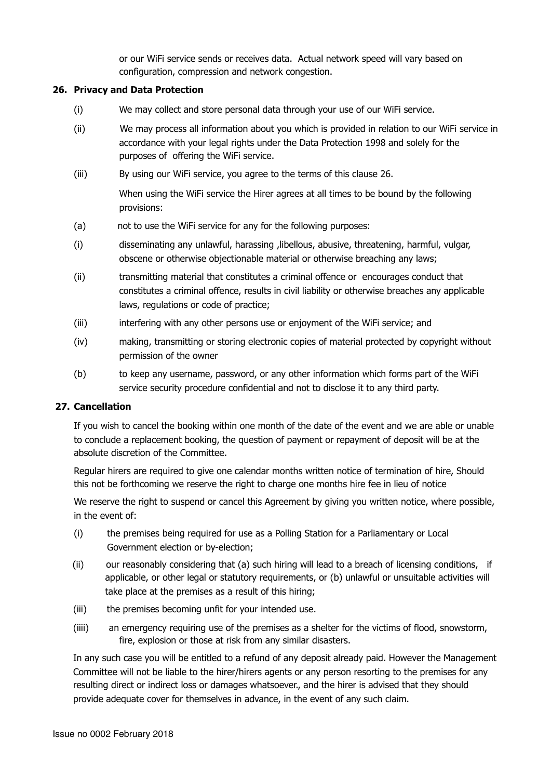or our WiFi service sends or receives data. Actual network speed will vary based on configuration, compression and network congestion.

# **26. Privacy and Data Protection**

- (i) We may collect and store personal data through your use of our WiFi service.
- (ii) We may process all information about you which is provided in relation to our WiFi service in accordance with your legal rights under the Data Protection 1998 and solely for the purposes of offering the WiFi service.
- (iii) By using our WiFi service, you agree to the terms of this clause 26.

 When using the WiFi service the Hirer agrees at all times to be bound by the following provisions:

- (a) not to use the WiFi service for any for the following purposes:
- (i) disseminating any unlawful, harassing ,libellous, abusive, threatening, harmful, vulgar, obscene or otherwise objectionable material or otherwise breaching any laws;
- (ii) transmitting material that constitutes a criminal offence or encourages conduct that constitutes a criminal offence, results in civil liability or otherwise breaches any applicable laws, regulations or code of practice;
- (iii) interfering with any other persons use or enjoyment of the WiFi service; and
- (iv) making, transmitting or storing electronic copies of material protected by copyright without permission of the owner
- (b) to keep any username, password, or any other information which forms part of the WiFi service security procedure confidential and not to disclose it to any third party.

#### **27. Cancellation**

If you wish to cancel the booking within one month of the date of the event and we are able or unable to conclude a replacement booking, the question of payment or repayment of deposit will be at the absolute discretion of the Committee.

Regular hirers are required to give one calendar months written notice of termination of hire, Should this not be forthcoming we reserve the right to charge one months hire fee in lieu of notice

 We reserve the right to suspend or cancel this Agreement by giving you written notice, where possible, in the event of:

- (i) the premises being required for use as a Polling Station for a Parliamentary or Local Government election or by-election;
- (ii) our reasonably considering that (a) such hiring will lead to a breach of licensing conditions, if applicable, or other legal or statutory requirements, or (b) unlawful or unsuitable activities will take place at the premises as a result of this hiring;
- (iii) the premises becoming unfit for your intended use.
- (iiii) an emergency requiring use of the premises as a shelter for the victims of flood, snowstorm, fire, explosion or those at risk from any similar disasters.

 In any such case you will be entitled to a refund of any deposit already paid. However the Management Committee will not be liable to the hirer/hirers agents or any person resorting to the premises for any resulting direct or indirect loss or damages whatsoever., and the hirer is advised that they should provide adequate cover for themselves in advance, in the event of any such claim.